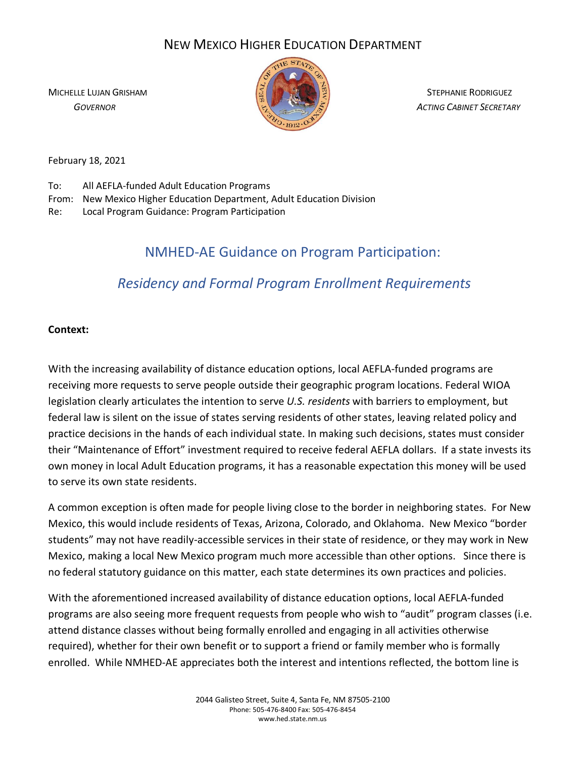## NEW MEXICO HIGHER EDUCATION DEPARTMENT



MICHELLE LUJAN GRISHAM STEPHANIE RODRIGUEZ  *GOVERNOR ACTING CABINET SECRETARY*

February 18, 2021

To: All AEFLA-funded Adult Education Programs

- From: New Mexico Higher Education Department, Adult Education Division
- Re: Local Program Guidance: Program Participation

## NMHED-AE Guidance on Program Participation:

# *Residency and Formal Program Enrollment Requirements*

### **Context:**

With the increasing availability of distance education options, local AEFLA-funded programs are receiving more requests to serve people outside their geographic program locations. Federal WIOA legislation clearly articulates the intention to serve *U.S. residents* with barriers to employment, but federal law is silent on the issue of states serving residents of other states, leaving related policy and practice decisions in the hands of each individual state. In making such decisions, states must consider their "Maintenance of Effort" investment required to receive federal AEFLA dollars. If a state invests its own money in local Adult Education programs, it has a reasonable expectation this money will be used to serve its own state residents.

A common exception is often made for people living close to the border in neighboring states. For New Mexico, this would include residents of Texas, Arizona, Colorado, and Oklahoma. New Mexico "border students" may not have readily-accessible services in their state of residence, or they may work in New Mexico, making a local New Mexico program much more accessible than other options. Since there is no federal statutory guidance on this matter, each state determines its own practices and policies.

With the aforementioned increased availability of distance education options, local AEFLA-funded programs are also seeing more frequent requests from people who wish to "audit" program classes (i.e. attend distance classes without being formally enrolled and engaging in all activities otherwise required), whether for their own benefit or to support a friend or family member who is formally enrolled. While NMHED-AE appreciates both the interest and intentions reflected, the bottom line is